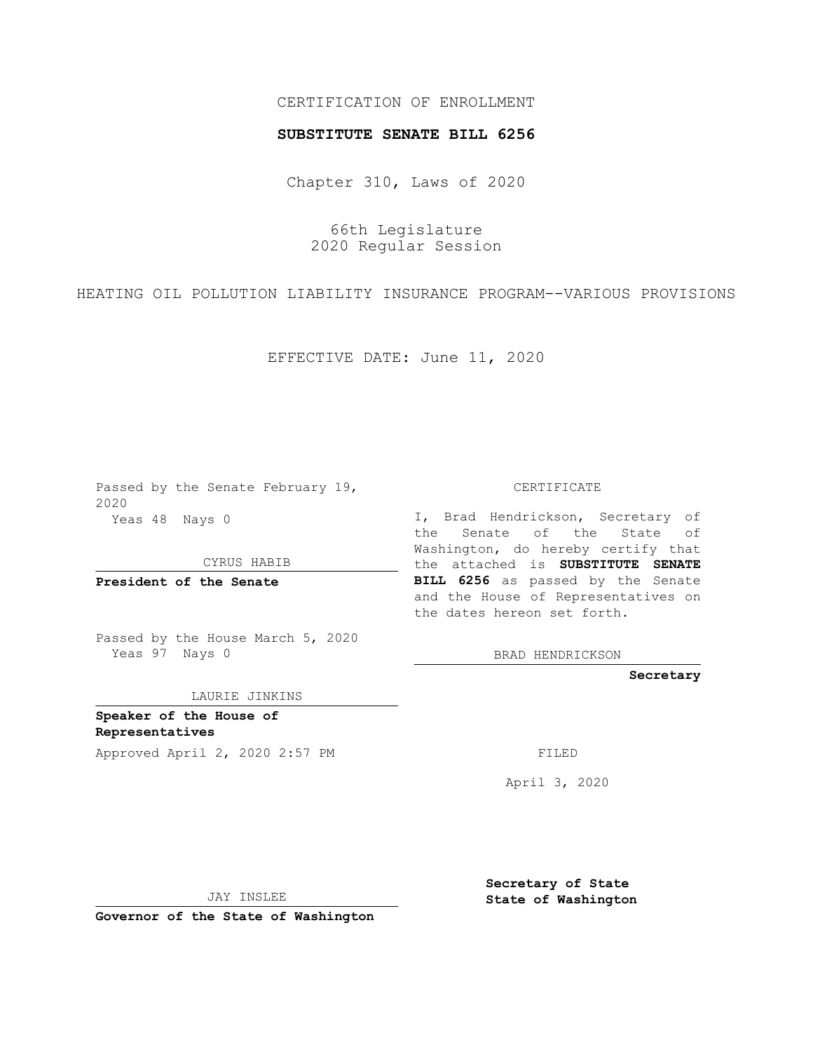## CERTIFICATION OF ENROLLMENT

#### **SUBSTITUTE SENATE BILL 6256**

Chapter 310, Laws of 2020

66th Legislature 2020 Regular Session

HEATING OIL POLLUTION LIABILITY INSURANCE PROGRAM--VARIOUS PROVISIONS

EFFECTIVE DATE: June 11, 2020

Passed by the Senate February 19, 2020 Yeas 48 Nays 0

CYRUS HABIB

**President of the Senate**

Passed by the House March 5, 2020 Yeas 97 Nays 0

LAURIE JINKINS

**Speaker of the House of Representatives** Approved April 2, 2020 2:57 PM

CERTIFICATE

I, Brad Hendrickson, Secretary of the Senate of the State of Washington, do hereby certify that the attached is **SUBSTITUTE SENATE BILL 6256** as passed by the Senate and the House of Representatives on the dates hereon set forth.

BRAD HENDRICKSON

**Secretary**

April 3, 2020

JAY INSLEE

**Governor of the State of Washington**

**Secretary of State State of Washington**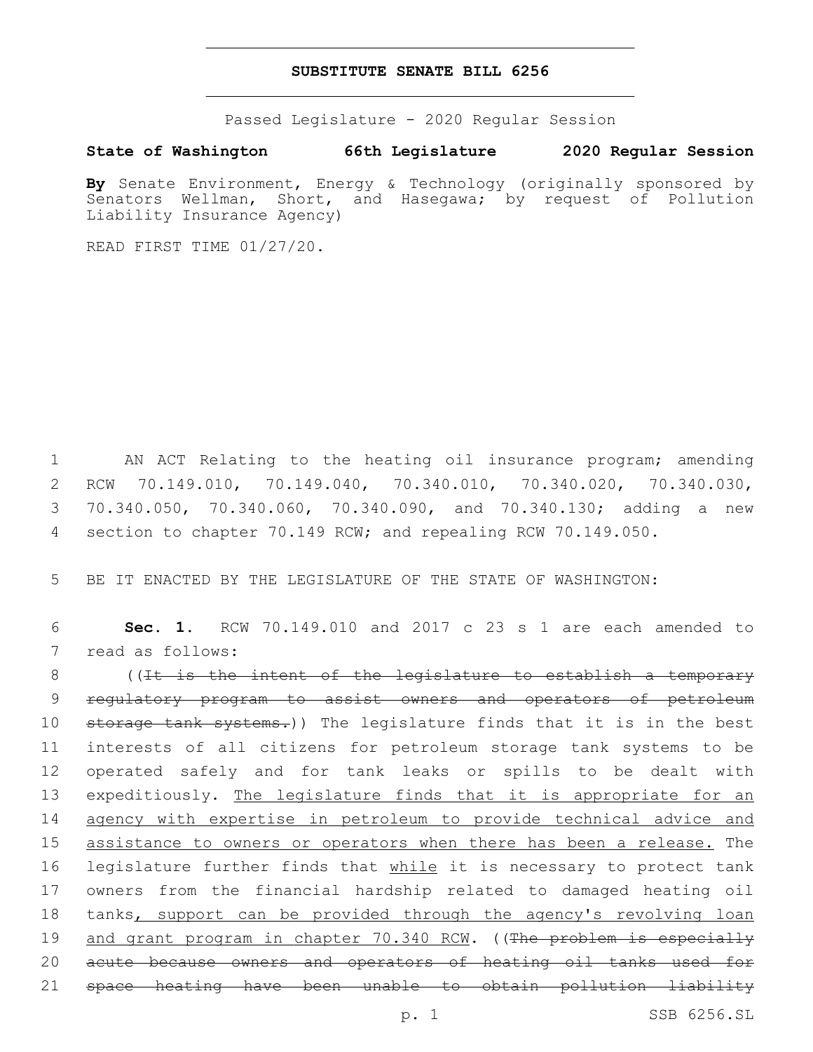### **SUBSTITUTE SENATE BILL 6256**

Passed Legislature - 2020 Regular Session

**State of Washington 66th Legislature 2020 Regular Session**

**By** Senate Environment, Energy & Technology (originally sponsored by Senators Wellman, Short, and Hasegawa; by request of Pollution Liability Insurance Agency)

READ FIRST TIME 01/27/20.

 AN ACT Relating to the heating oil insurance program; amending RCW 70.149.010, 70.149.040, 70.340.010, 70.340.020, 70.340.030, 70.340.050, 70.340.060, 70.340.090, and 70.340.130; adding a new section to chapter 70.149 RCW; and repealing RCW 70.149.050.

5 BE IT ENACTED BY THE LEGISLATURE OF THE STATE OF WASHINGTON:

6 **Sec. 1.** RCW 70.149.010 and 2017 c 23 s 1 are each amended to 7 read as follows:

8 ((It is the intent of the legislature to establish a temporary 9 regulatory program to assist owners and operators of petroleum 10 storage tank systems.)) The legislature finds that it is in the best 11 interests of all citizens for petroleum storage tank systems to be 12 operated safely and for tank leaks or spills to be dealt with 13 expeditiously. The legislature finds that it is appropriate for an 14 agency with expertise in petroleum to provide technical advice and 15 assistance to owners or operators when there has been a release. The 16 legislature further finds that while it is necessary to protect tank 17 owners from the financial hardship related to damaged heating oil 18 tanks, support can be provided through the agency's revolving loan 19 and grant program in chapter 70.340 RCW. ((The problem is especially 20 acute because owners and operators of heating oil tanks used for 21 space heating have been unable to obtain pollution liability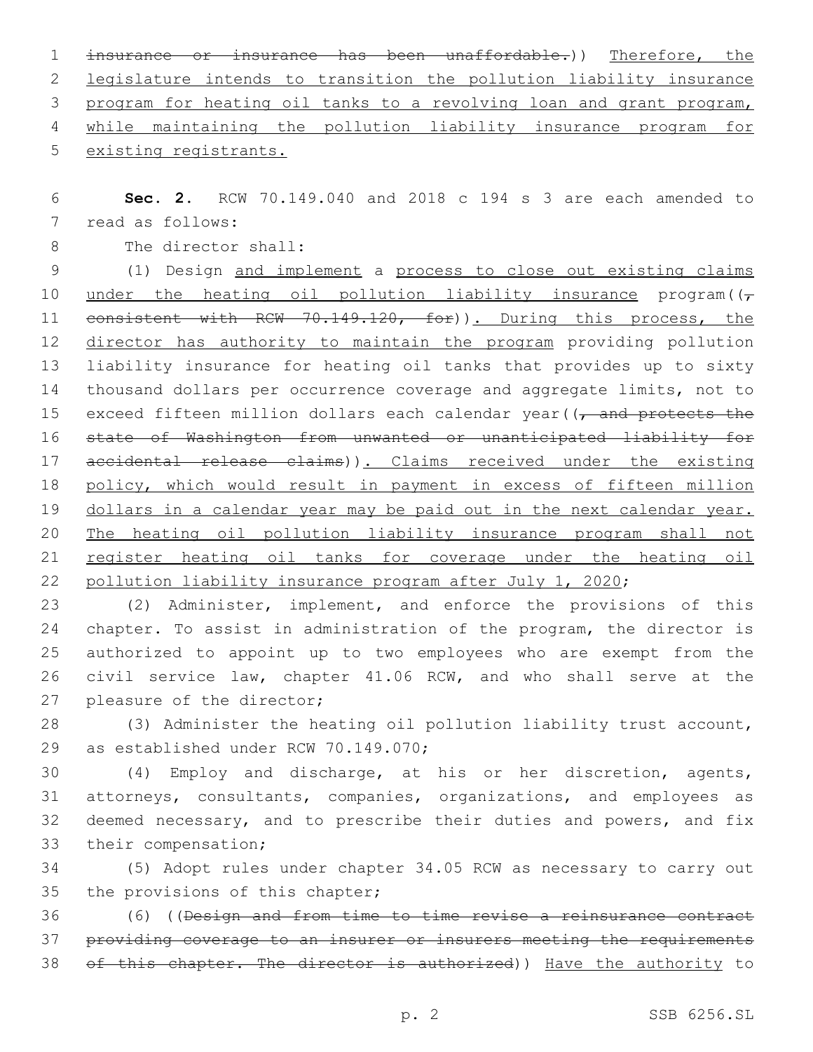insurance or insurance has been unaffordable.)) Therefore, the legislature intends to transition the pollution liability insurance program for heating oil tanks to a revolving loan and grant program, while maintaining the pollution liability insurance program for existing registrants.

 **Sec. 2.** RCW 70.149.040 and 2018 c 194 s 3 are each amended to 7 read as follows:

8 The director shall:

 (1) Design and implement a process to close out existing claims 10 under the heating oil pollution liability insurance program( $(\tau)$ 11 consistent with RCW 70.149.120, for)). During this process, the 12 director has authority to maintain the program providing pollution liability insurance for heating oil tanks that provides up to sixty thousand dollars per occurrence coverage and aggregate limits, not to 15 exceed fifteen million dollars each calendar year( $\sqrt{\tau}$  and protects the state of Washington from unwanted or unanticipated liability for 17 accidental release claims)). Claims received under the existing policy, which would result in payment in excess of fifteen million dollars in a calendar year may be paid out in the next calendar year. The heating oil pollution liability insurance program shall not register heating oil tanks for coverage under the heating oil 22 pollution liability insurance program after July 1, 2020;

 (2) Administer, implement, and enforce the provisions of this chapter. To assist in administration of the program, the director is authorized to appoint up to two employees who are exempt from the civil service law, chapter 41.06 RCW, and who shall serve at the 27 pleasure of the director;

 (3) Administer the heating oil pollution liability trust account, 29 as established under RCW 70.149.070;

 (4) Employ and discharge, at his or her discretion, agents, attorneys, consultants, companies, organizations, and employees as deemed necessary, and to prescribe their duties and powers, and fix 33 their compensation;

 (5) Adopt rules under chapter 34.05 RCW as necessary to carry out 35 the provisions of this chapter;

 (6) ((Design and from time to time revise a reinsurance contract providing coverage to an insurer or insurers meeting the requirements 38 of this chapter. The director is authorized)) Have the authority to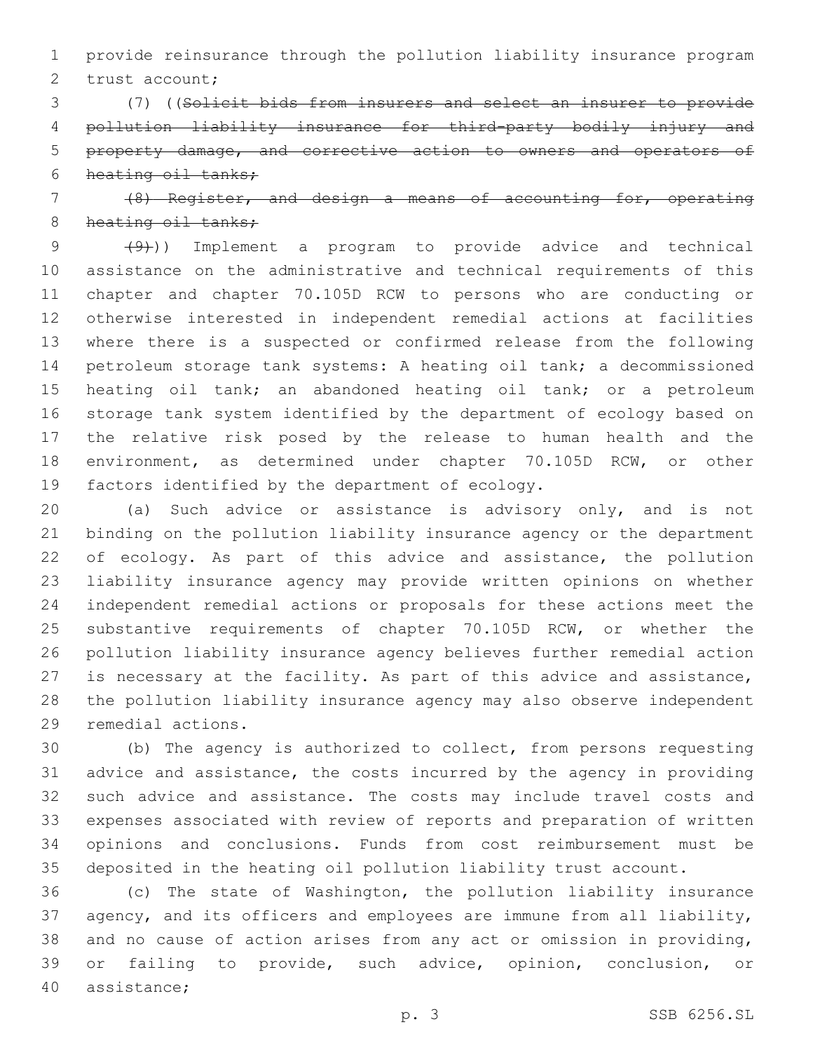provide reinsurance through the pollution liability insurance program 2 trust account;

 (7) ((Solicit bids from insurers and select an insurer to provide pollution liability insurance for third-party bodily injury and property damage, and corrective action to owners and operators of heating oil tanks;

# (8) Register, and design a means of accounting for, operating 8 heating oil tanks;

9 (9)) Implement a program to provide advice and technical assistance on the administrative and technical requirements of this chapter and chapter 70.105D RCW to persons who are conducting or otherwise interested in independent remedial actions at facilities where there is a suspected or confirmed release from the following petroleum storage tank systems: A heating oil tank; a decommissioned heating oil tank; an abandoned heating oil tank; or a petroleum storage tank system identified by the department of ecology based on the relative risk posed by the release to human health and the environment, as determined under chapter 70.105D RCW, or other 19 factors identified by the department of ecology.

 (a) Such advice or assistance is advisory only, and is not binding on the pollution liability insurance agency or the department 22 of ecology. As part of this advice and assistance, the pollution liability insurance agency may provide written opinions on whether independent remedial actions or proposals for these actions meet the substantive requirements of chapter 70.105D RCW, or whether the pollution liability insurance agency believes further remedial action is necessary at the facility. As part of this advice and assistance, the pollution liability insurance agency may also observe independent 29 remedial actions.

 (b) The agency is authorized to collect, from persons requesting advice and assistance, the costs incurred by the agency in providing such advice and assistance. The costs may include travel costs and expenses associated with review of reports and preparation of written opinions and conclusions. Funds from cost reimbursement must be deposited in the heating oil pollution liability trust account.

 (c) The state of Washington, the pollution liability insurance agency, and its officers and employees are immune from all liability, and no cause of action arises from any act or omission in providing, or failing to provide, such advice, opinion, conclusion, or 40 assistance;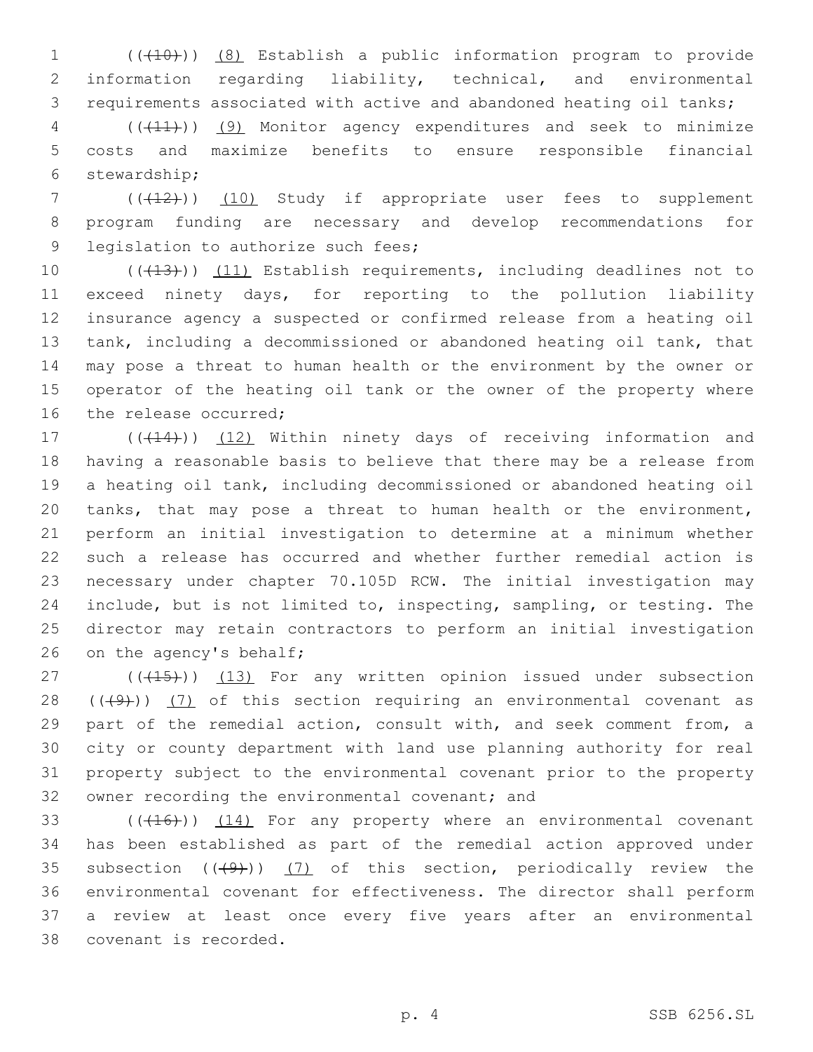(((10))) (8) Establish a public information program to provide information regarding liability, technical, and environmental requirements associated with active and abandoned heating oil tanks;

 (((11))) (9) Monitor agency expenditures and seek to minimize costs and maximize benefits to ensure responsible financial 6 stewardship;

7 (( $(12)$ )) (10) Study if appropriate user fees to supplement program funding are necessary and develop recommendations for 9 legislation to authorize such fees;

10 (((413))) (11) Establish requirements, including deadlines not to exceed ninety days, for reporting to the pollution liability insurance agency a suspected or confirmed release from a heating oil tank, including a decommissioned or abandoned heating oil tank, that may pose a threat to human health or the environment by the owner or operator of the heating oil tank or the owner of the property where 16 the release occurred;

17 (((414))) (12) Within ninety days of receiving information and having a reasonable basis to believe that there may be a release from a heating oil tank, including decommissioned or abandoned heating oil tanks, that may pose a threat to human health or the environment, perform an initial investigation to determine at a minimum whether such a release has occurred and whether further remedial action is necessary under chapter 70.105D RCW. The initial investigation may include, but is not limited to, inspecting, sampling, or testing. The director may retain contractors to perform an initial investigation 26 on the agency's behalf;

27 (((415))) (13) For any written opinion issued under subsection  $((+9)$ )  $(7)$  of this section requiring an environmental covenant as part of the remedial action, consult with, and seek comment from, a city or county department with land use planning authority for real property subject to the environmental covenant prior to the property 32 owner recording the environmental covenant; and

 $((+16))$   $(14)$  For any property where an environmental covenant has been established as part of the remedial action approved under 35 subsection  $((+9))$   $(7)$  of this section, periodically review the environmental covenant for effectiveness. The director shall perform a review at least once every five years after an environmental 38 covenant is recorded.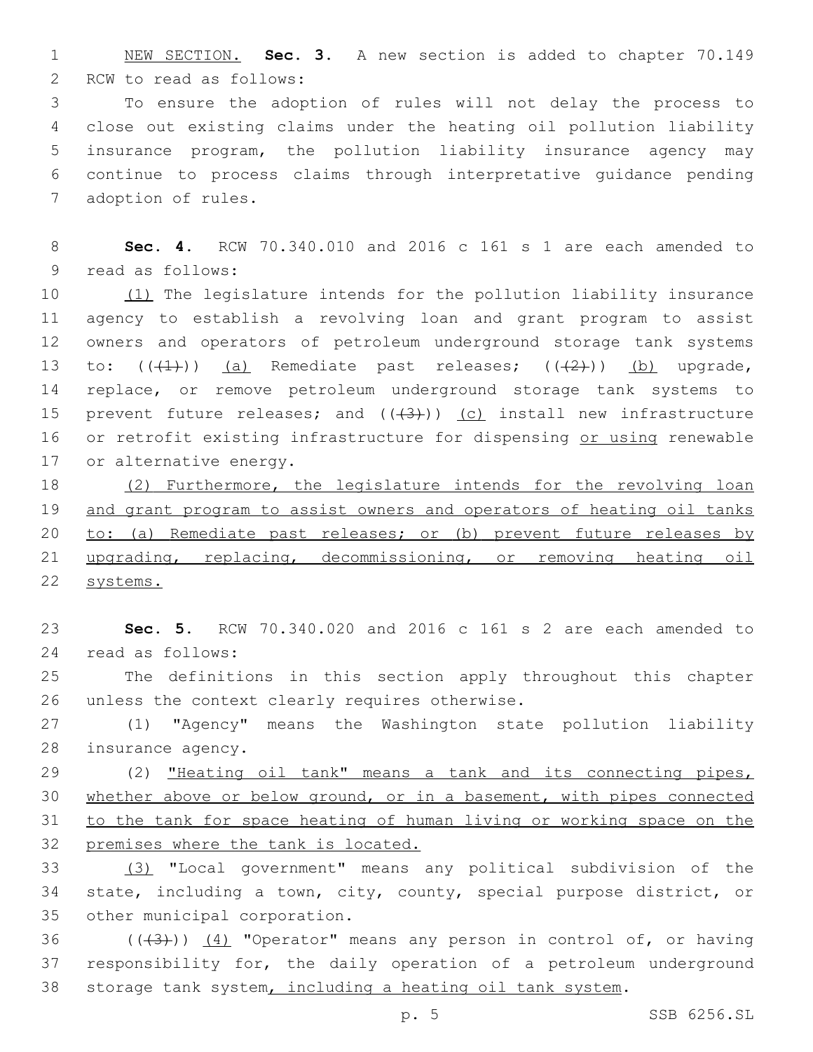NEW SECTION. **Sec. 3.** A new section is added to chapter 70.149 2 RCW to read as follows:

 To ensure the adoption of rules will not delay the process to close out existing claims under the heating oil pollution liability insurance program, the pollution liability insurance agency may continue to process claims through interpretative guidance pending 7 adoption of rules.

 **Sec. 4.** RCW 70.340.010 and 2016 c 161 s 1 are each amended to 9 read as follows:

 (1) The legislature intends for the pollution liability insurance agency to establish a revolving loan and grant program to assist owners and operators of petroleum underground storage tank systems 13 to:  $((+1))$  (a) Remediate past releases;  $((+2))$  (b) upgrade, replace, or remove petroleum underground storage tank systems to 15 prevent future releases; and  $((+3))$  (c) install new infrastructure 16 or retrofit existing infrastructure for dispensing or using renewable 17 or alternative energy.

 (2) Furthermore, the legislature intends for the revolving loan and grant program to assist owners and operators of heating oil tanks 20 to: (a) Remediate past releases; or (b) prevent future releases by upgrading, replacing, decommissioning, or removing heating oil systems.

 **Sec. 5.** RCW 70.340.020 and 2016 c 161 s 2 are each amended to read as follows:24

 The definitions in this section apply throughout this chapter 26 unless the context clearly requires otherwise.

 (1) "Agency" means the Washington state pollution liability 28 insurance agency.

 (2) "Heating oil tank" means a tank and its connecting pipes, whether above or below ground, or in a basement, with pipes connected to the tank for space heating of human living or working space on the premises where the tank is located.

 (3) "Local government" means any political subdivision of the state, including a town, city, county, special purpose district, or 35 other municipal corporation.

36  $((+3+))$   $(4)$  "Operator" means any person in control of, or having responsibility for, the daily operation of a petroleum underground storage tank system, including a heating oil tank system.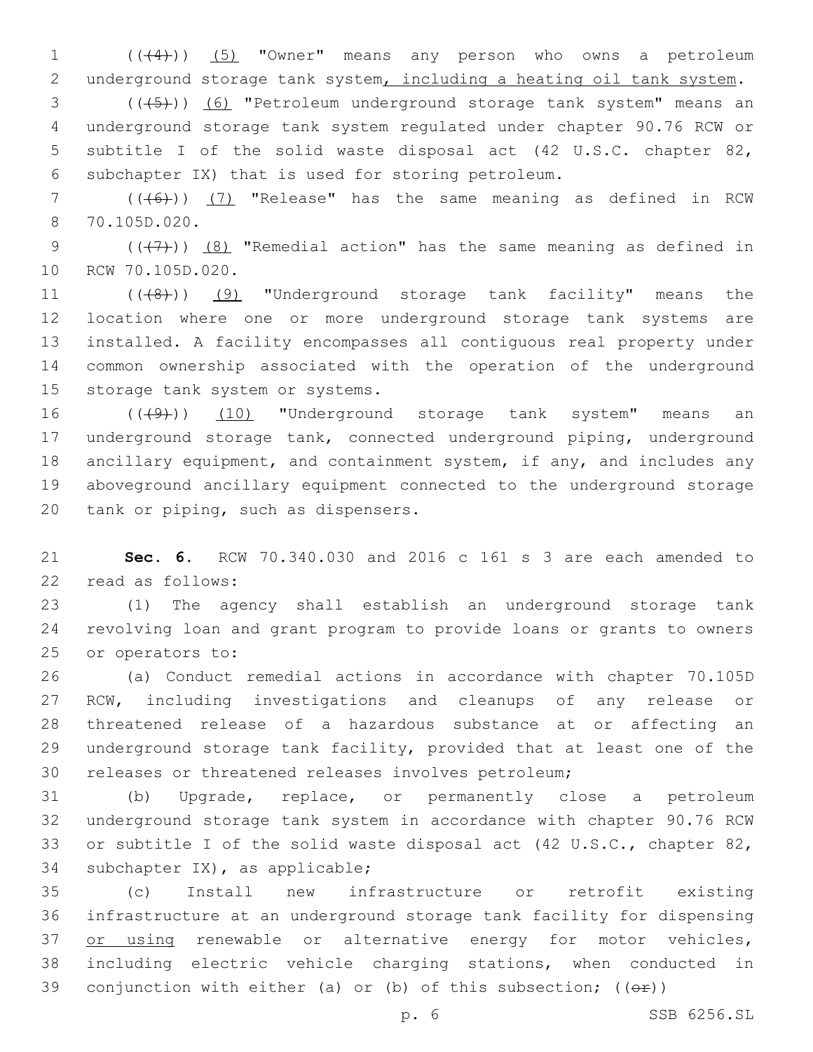1 (( $(4)$ )) (5) "Owner" means any person who owns a petroleum 2 underground storage tank system, including a heating oil tank system.

3 (((+5))) (6) "Petroleum underground storage tank system" means an 4 underground storage tank system regulated under chapter 90.76 RCW or 5 subtitle I of the solid waste disposal act (42 U.S.C. chapter 82, 6 subchapter IX) that is used for storing petroleum.

7 (((6)) (7) "Release" has the same meaning as defined in RCW 70.105D.020.8

9  $((+7)$ )  $(8)$  "Remedial action" has the same meaning as defined in 10 RCW 70.105D.020.

11 (((8)) (9) "Underground storage tank facility" means the 12 location where one or more underground storage tank systems are 13 installed. A facility encompasses all contiguous real property under 14 common ownership associated with the operation of the underground 15 storage tank system or systems.

16 (((49)) (10) "Underground storage tank system" means an 17 underground storage tank, connected underground piping, underground 18 ancillary equipment, and containment system, if any, and includes any 19 aboveground ancillary equipment connected to the underground storage 20 tank or piping, such as dispensers.

21 **Sec. 6.** RCW 70.340.030 and 2016 c 161 s 3 are each amended to 22 read as follows:

23 (1) The agency shall establish an underground storage tank 24 revolving loan and grant program to provide loans or grants to owners 25 or operators to:

 (a) Conduct remedial actions in accordance with chapter 70.105D RCW, including investigations and cleanups of any release or threatened release of a hazardous substance at or affecting an underground storage tank facility, provided that at least one of the releases or threatened releases involves petroleum;

 (b) Upgrade, replace, or permanently close a petroleum underground storage tank system in accordance with chapter 90.76 RCW or subtitle I of the solid waste disposal act (42 U.S.C., chapter 82, 34 subchapter IX), as applicable;

35 (c) Install new infrastructure or retrofit existing 36 infrastructure at an underground storage tank facility for dispensing 37 or using renewable or alternative energy for motor vehicles, 38 including electric vehicle charging stations, when conducted in 39 conjunction with either (a) or (b) of this subsection;  $((\theta \hat{r}))$ 

p. 6 SSB 6256.SL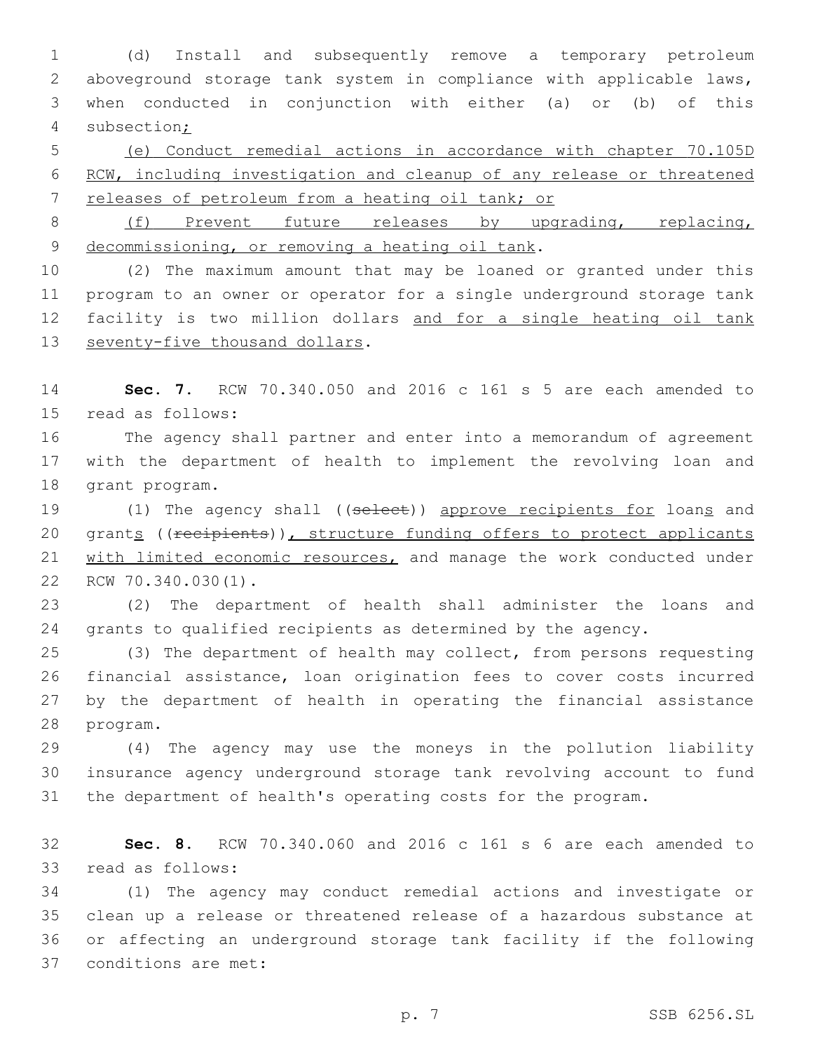(d) Install and subsequently remove a temporary petroleum aboveground storage tank system in compliance with applicable laws, when conducted in conjunction with either (a) or (b) of this subsection;

 (e) Conduct remedial actions in accordance with chapter 70.105D RCW, including investigation and cleanup of any release or threatened releases of petroleum from a heating oil tank; or

8 (f) Prevent future releases by upgrading, replacing, 9 decommissioning, or removing a heating oil tank.

 (2) The maximum amount that may be loaned or granted under this program to an owner or operator for a single underground storage tank facility is two million dollars and for a single heating oil tank 13 seventy-five thousand dollars.

 **Sec. 7.** RCW 70.340.050 and 2016 c 161 s 5 are each amended to 15 read as follows:

 The agency shall partner and enter into a memorandum of agreement with the department of health to implement the revolving loan and 18 grant program.

19 (1) The agency shall ((select)) approve recipients for loans and 20 grants ((recipients)), structure funding offers to protect applicants with limited economic resources, and manage the work conducted under 22 RCW 70.340.030(1).

 (2) The department of health shall administer the loans and grants to qualified recipients as determined by the agency.

 (3) The department of health may collect, from persons requesting financial assistance, loan origination fees to cover costs incurred by the department of health in operating the financial assistance 28 program.

 (4) The agency may use the moneys in the pollution liability insurance agency underground storage tank revolving account to fund the department of health's operating costs for the program.

 **Sec. 8.** RCW 70.340.060 and 2016 c 161 s 6 are each amended to 33 read as follows:

 (1) The agency may conduct remedial actions and investigate or clean up a release or threatened release of a hazardous substance at or affecting an underground storage tank facility if the following 37 conditions are met: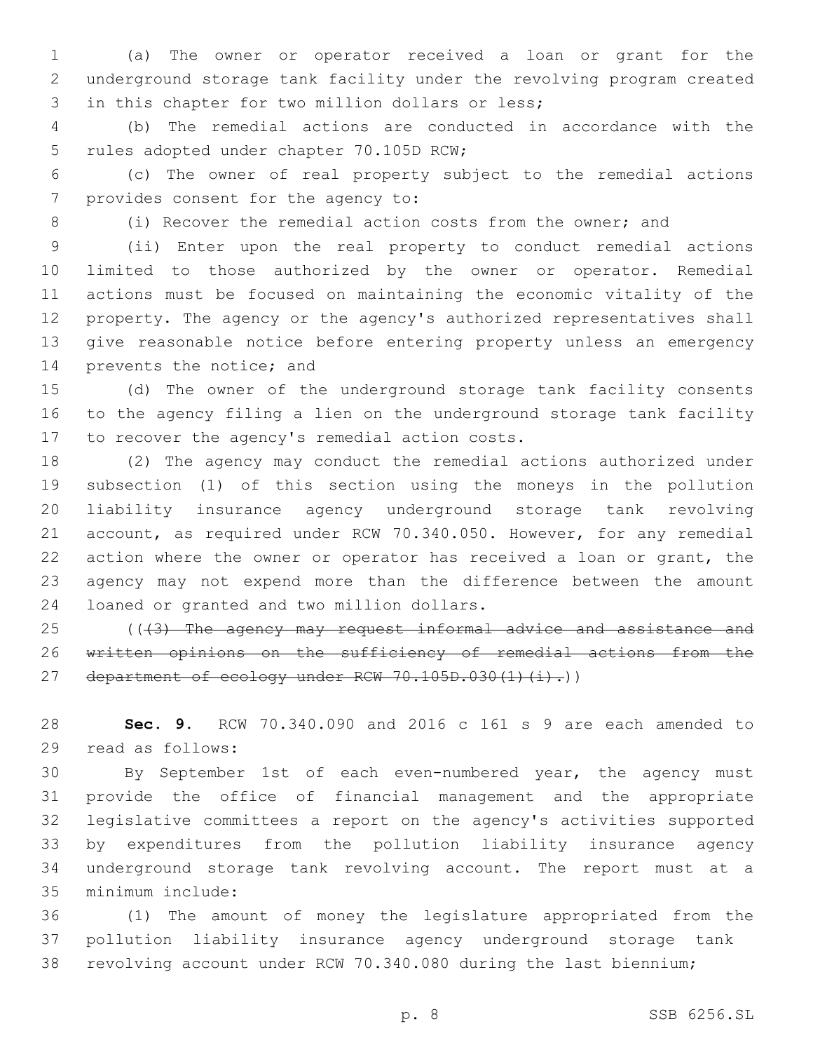(a) The owner or operator received a loan or grant for the underground storage tank facility under the revolving program created 3 in this chapter for two million dollars or less;

 (b) The remedial actions are conducted in accordance with the 5 rules adopted under chapter 70.105D RCW;

 (c) The owner of real property subject to the remedial actions 7 provides consent for the agency to:

(i) Recover the remedial action costs from the owner; and

 (ii) Enter upon the real property to conduct remedial actions limited to those authorized by the owner or operator. Remedial actions must be focused on maintaining the economic vitality of the property. The agency or the agency's authorized representatives shall give reasonable notice before entering property unless an emergency 14 prevents the notice; and

 (d) The owner of the underground storage tank facility consents to the agency filing a lien on the underground storage tank facility 17 to recover the agency's remedial action costs.

 (2) The agency may conduct the remedial actions authorized under subsection (1) of this section using the moneys in the pollution liability insurance agency underground storage tank revolving account, as required under RCW 70.340.050. However, for any remedial action where the owner or operator has received a loan or grant, the agency may not expend more than the difference between the amount 24 loaned or granted and two million dollars.

25 ((43) The agency may request informal advice and assistance and written opinions on the sufficiency of remedial actions from the 27 department of ecology under RCW  $70.105D.030(1)(i).)$ 

 **Sec. 9.** RCW 70.340.090 and 2016 c 161 s 9 are each amended to 29 read as follows:

 By September 1st of each even-numbered year, the agency must provide the office of financial management and the appropriate legislative committees a report on the agency's activities supported by expenditures from the pollution liability insurance agency underground storage tank revolving account. The report must at a 35 minimum include:

 (1) The amount of money the legislature appropriated from the pollution liability insurance agency underground storage tank revolving account under RCW 70.340.080 during the last biennium;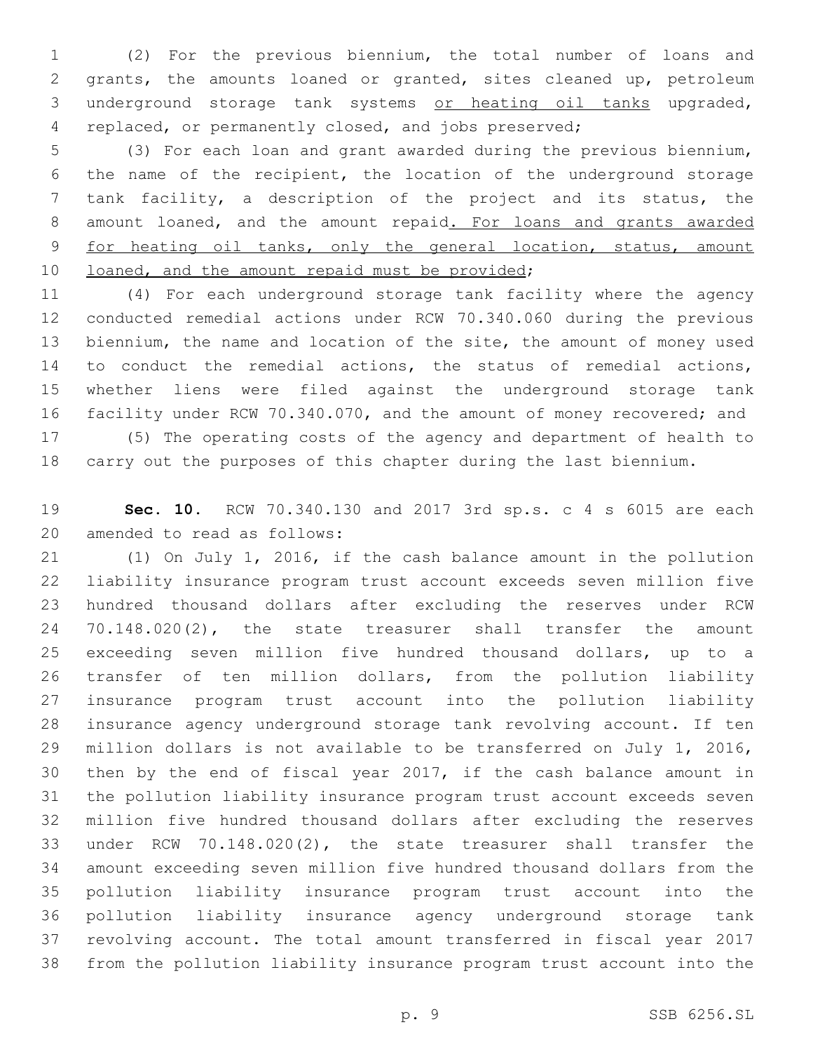(2) For the previous biennium, the total number of loans and grants, the amounts loaned or granted, sites cleaned up, petroleum underground storage tank systems or heating oil tanks upgraded, replaced, or permanently closed, and jobs preserved;

 (3) For each loan and grant awarded during the previous biennium, the name of the recipient, the location of the underground storage tank facility, a description of the project and its status, the 8 amount loaned, and the amount repaid. For loans and grants awarded for heating oil tanks, only the general location, status, amount 10 loaned, and the amount repaid must be provided;

 (4) For each underground storage tank facility where the agency conducted remedial actions under RCW 70.340.060 during the previous biennium, the name and location of the site, the amount of money used to conduct the remedial actions, the status of remedial actions, whether liens were filed against the underground storage tank 16 facility under RCW 70.340.070, and the amount of money recovered; and (5) The operating costs of the agency and department of health to

carry out the purposes of this chapter during the last biennium.

 **Sec. 10.** RCW 70.340.130 and 2017 3rd sp.s. c 4 s 6015 are each 20 amended to read as follows:

 (1) On July 1, 2016, if the cash balance amount in the pollution liability insurance program trust account exceeds seven million five hundred thousand dollars after excluding the reserves under RCW 70.148.020(2), the state treasurer shall transfer the amount exceeding seven million five hundred thousand dollars, up to a transfer of ten million dollars, from the pollution liability insurance program trust account into the pollution liability insurance agency underground storage tank revolving account. If ten million dollars is not available to be transferred on July 1, 2016, then by the end of fiscal year 2017, if the cash balance amount in the pollution liability insurance program trust account exceeds seven million five hundred thousand dollars after excluding the reserves under RCW 70.148.020(2), the state treasurer shall transfer the amount exceeding seven million five hundred thousand dollars from the pollution liability insurance program trust account into the pollution liability insurance agency underground storage tank revolving account. The total amount transferred in fiscal year 2017 from the pollution liability insurance program trust account into the